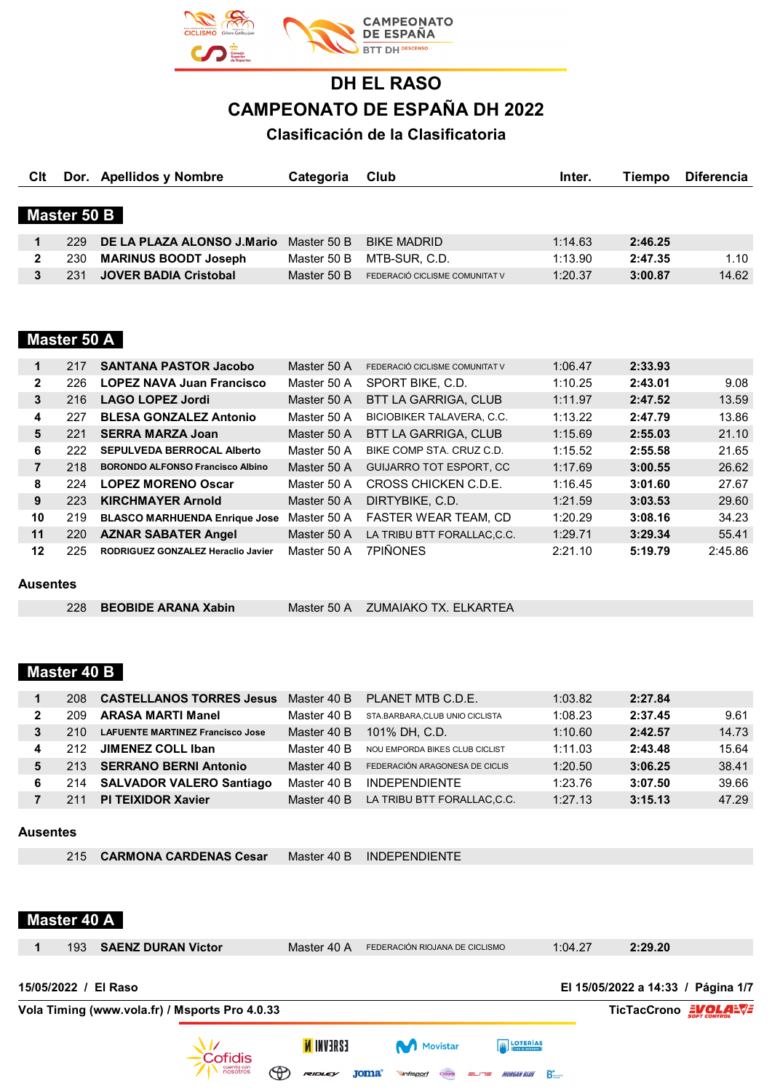

# **DH EL RASO CAMPEONATO DE ESPAÑA DH 2022**

**Clasificación de la Clasificatoria**

| Clt          |             | Dor. Apellidos y Nombre      | Categoria   | Club                           | Inter.  | Tiempo  | <b>Diferencia</b> |
|--------------|-------------|------------------------------|-------------|--------------------------------|---------|---------|-------------------|
|              | Master 50 B |                              |             |                                |         |         |                   |
|              |             |                              |             |                                |         |         |                   |
|              | 229         | DE LA PLAZA ALONSO J.Mario   | Master 50 B | <b>BIKE MADRID</b>             | 1:14.63 | 2:46.25 |                   |
| $\mathbf{2}$ | 230         | <b>MARINUS BOODT Joseph</b>  | Master 50 B | MTB-SUR, C.D.                  | 1:13.90 | 2:47.35 | 1.10              |
| 3            | 231         | <b>JOVER BADIA Cristobal</b> | Master 50 B | FEDERACIÓ CICLISME COMUNITAT V | 1:20.37 | 3:00.87 | 14.62             |
|              |             |                              |             |                                |         |         |                   |
|              |             |                              |             |                                |         |         |                   |

#### **Master 50 A**

| 1              | 217 | <b>SANTANA PASTOR Jacobo</b>            | Master 50 A | FEDERACIÓ CICLISME COMUNITAT V   | 1:06.47 | 2:33.93 |         |
|----------------|-----|-----------------------------------------|-------------|----------------------------------|---------|---------|---------|
| $\overline{2}$ | 226 | <b>LOPEZ NAVA Juan Francisco</b>        | Master 50 A | SPORT BIKE, C.D.                 | 1:10.25 | 2:43.01 | 9.08    |
| 3              | 216 | LAGO LOPEZ Jordi                        | Master 50 A | <b>BTT LA GARRIGA, CLUB</b>      | 1:11.97 | 2:47.52 | 13.59   |
| 4              | 227 | <b>BLESA GONZALEZ Antonio</b>           | Master 50 A | <b>BICIOBIKER TALAVERA, C.C.</b> | 1:13.22 | 2:47.79 | 13.86   |
| 5              | 221 | <b>SERRA MARZA Joan</b>                 | Master 50 A | BTT LA GARRIGA, CLUB             | 1:15.69 | 2:55.03 | 21.10   |
| 6              | 222 | <b>SEPULVEDA BERROCAL Alberto</b>       | Master 50 A | BIKE COMP STA, CRUZ C.D.         | 1:15.52 | 2:55.58 | 21.65   |
| $\overline{7}$ | 218 | <b>BORONDO ALFONSO Francisco Albino</b> | Master 50 A | <b>GUIJARRO TOT ESPORT, CC</b>   | 1:17.69 | 3:00.55 | 26.62   |
| 8              | 224 | <b>LOPEZ MORENO Oscar</b>               | Master 50 A | CROSS CHICKEN C.D.E.             | 1:16.45 | 3:01.60 | 27.67   |
| 9              | 223 | <b>KIRCHMAYER Arnold</b>                | Master 50 A | DIRTYBIKE, C.D.                  | 1:21.59 | 3:03.53 | 29.60   |
| 10             | 219 | <b>BLASCO MARHUENDA Enrique Jose</b>    | Master 50 A | <b>FASTER WEAR TEAM, CD</b>      | 1:20.29 | 3:08.16 | 34.23   |
| 11             | 220 | <b>AZNAR SABATER Angel</b>              | Master 50 A | LA TRIBU BTT FORALLAC,C.C.       | 1:29.71 | 3:29.34 | 55.41   |
| 12             | 225 | RODRIGUEZ GONZALEZ Heraclio Javier      | Master 50 A | <b>7PIÑONES</b>                  | 2:21.10 | 5:19.79 | 2:45.86 |

#### **Ausentes**

|  | 228 BEOBIDE ARANA Xabin |  | Master 50 A ZUMAIAKO TX, ELKARTEA |
|--|-------------------------|--|-----------------------------------|
|--|-------------------------|--|-----------------------------------|

#### **Master 40 B**

|   | 208  | <b>CASTELLANOS TORRES Jesus</b>         | Master 40 B | PLANET MTB C.D.E.              | 1:03.82 | 2:27.84 |       |
|---|------|-----------------------------------------|-------------|--------------------------------|---------|---------|-------|
| 2 | 209  | <b>ARASA MARTI Manel</b>                | Master 40 B | STA.BARBARA.CLUB UNIO CICLISTA | 1:08.23 | 2:37.45 | 9.61  |
| 3 | 210  | <b>LAFUENTE MARTINEZ Francisco Jose</b> | Master 40 B | 101% DH, C.D.                  | 1:10.60 | 2:42.57 | 14.73 |
| 4 | 212  | JIMENEZ COLL Iban                       | Master 40 B | NOU EMPORDA BIKES CLUB CICLIST | 1:11.03 | 2:43.48 | 15.64 |
| 5 | 213. | <b>SERRANO BERNI Antonio</b>            | Master 40 B | FEDERACIÓN ARAGONESA DE CICLIS | 1:20.50 | 3:06.25 | 38.41 |
| 6 | 214  | <b>SALVADOR VALERO Santiago</b>         | Master 40 B | <b>INDEPENDIENTE</b>           | 1:23.76 | 3:07.50 | 39.66 |
|   |      | <b>TEIXIDOR Xavier</b><br><b>PI</b>     | Master 40 B | LA TRIBU BTT FORALLAC.C.C.     | 1:27.13 | 3:15.13 | 47.29 |

#### **Ausentes**

| 215 CARMONA CARDENAS Cesar |  | Master 40 B INDEPENDIENTE |
|----------------------------|--|---------------------------|
|----------------------------|--|---------------------------|

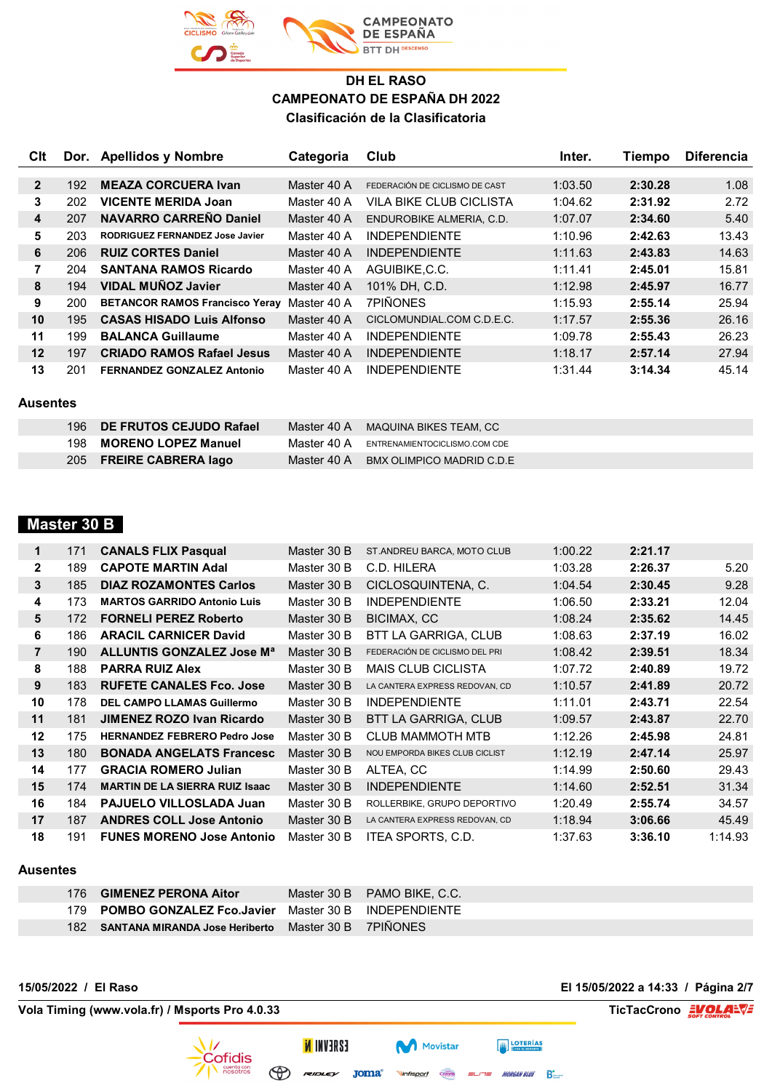

| Clt                     |     | Dor. Apellidos y Nombre               | Categoria   | Club                           | Inter.  | Tiempo  | <b>Diferencia</b> |
|-------------------------|-----|---------------------------------------|-------------|--------------------------------|---------|---------|-------------------|
|                         |     |                                       |             |                                |         |         |                   |
| $\overline{2}$          | 192 | <b>MEAZA CORCUERA Ivan</b>            | Master 40 A | FEDERACIÓN DE CICLISMO DE CAST | 1:03.50 | 2:30.28 | 1.08              |
| 3                       | 202 | <b>VICENTE MERIDA Joan</b>            | Master 40 A | VII A BIKE CI UB CICI ISTA     | 1:04.62 | 2:31.92 | 2.72              |
| $\overline{\mathbf{4}}$ | 207 | <b>NAVARRO CARREÑO Daniel</b>         | Master 40 A | ENDUROBIKE ALMERIA, C.D.       | 1:07.07 | 2:34.60 | 5.40              |
| 5                       | 203 | RODRIGUEZ FERNANDEZ Jose Javier       | Master 40 A | <b>INDEPENDIENTE</b>           | 1:10.96 | 2:42.63 | 13.43             |
| 6                       | 206 | <b>RUIZ CORTES Daniel</b>             | Master 40 A | <b>INDEPENDIENTE</b>           | 1:11.63 | 2:43.83 | 14.63             |
| 7                       | 204 | <b>SANTANA RAMOS Ricardo</b>          | Master 40 A | AGUIBIKE.C.C.                  | 1:11.41 | 2:45.01 | 15.81             |
| 8                       | 194 | <b>VIDAL MUNOZ Javier</b>             | Master 40 A | 101% DH. C.D.                  | 1:12.98 | 2:45.97 | 16.77             |
| 9                       | 200 | <b>BETANCOR RAMOS Francisco Yeray</b> | Master 40 A | <b>7PIÑONES</b>                | 1:15.93 | 2:55.14 | 25.94             |
| 10                      | 195 | <b>CASAS HISADO Luis Alfonso</b>      | Master 40 A | CICLOMUNDIAL.COM C.D.E.C.      | 1:17.57 | 2:55.36 | 26.16             |
| 11                      | 199 | <b>BALANCA Guillaume</b>              | Master 40 A | <b>INDEPENDIENTE</b>           | 1:09.78 | 2:55.43 | 26.23             |
| 12                      | 197 | <b>CRIADO RAMOS Rafael Jesus</b>      | Master 40 A | <b>INDEPENDIENTE</b>           | 1:18.17 | 2:57.14 | 27.94             |
| 13                      | 201 | <b>FERNANDEZ GONZALEZ Antonio</b>     | Master 40 A | <b>INDEPENDIENTE</b>           | 1:31.44 | 3:14.34 | 45.14             |

#### **Ausentes**

| 196 DE FRUTOS CEJUDO Rafael |             | Master 40 A MAQUINA BIKES TEAM, CC |
|-----------------------------|-------------|------------------------------------|
| 198 MORENO LOPEZ Manuel     | Master 40 A | ENTRENAMIENTOCICLISMO.COM CDE      |
| 205 FREIRE CABRERA lago     | Master 40 A | BMX OLIMPICO MADRID C.D.E          |

## **Master 30 B**

| 1              | 171 | <b>CANALS FLIX Pasqual</b>            | Master 30 B | ST.ANDREU BARCA, MOTO CLUB     | 1:00.22 | 2:21.17 |         |
|----------------|-----|---------------------------------------|-------------|--------------------------------|---------|---------|---------|
| $\mathbf{2}$   | 189 | <b>CAPOTE MARTIN Adal</b>             | Master 30 B | C.D. HILERA                    | 1:03.28 | 2:26.37 | 5.20    |
| 3              | 185 | <b>DIAZ ROZAMONTES Carlos</b>         | Master 30 B | CICLOSQUINTENA, C.             | 1:04.54 | 2:30.45 | 9.28    |
| 4              | 173 | <b>MARTOS GARRIDO Antonio Luis</b>    | Master 30 B | <b>INDEPENDIENTE</b>           | 1:06.50 | 2:33.21 | 12.04   |
| 5              | 172 | <b>FORNELI PEREZ Roberto</b>          | Master 30 B | BICIMAX, CC                    | 1:08.24 | 2:35.62 | 14.45   |
| 6              | 186 | <b>ARACIL CARNICER David</b>          | Master 30 B | BTT LA GARRIGA, CLUB           | 1:08.63 | 2:37.19 | 16.02   |
| $\overline{7}$ | 190 | ALLUNTIS GONZALEZ Jose M <sup>a</sup> | Master 30 B | FEDERACIÓN DE CICLISMO DEL PRI | 1:08.42 | 2:39.51 | 18.34   |
| 8              | 188 | <b>PARRA RUIZ Alex</b>                | Master 30 B | <b>MAIS CLUB CICLISTA</b>      | 1:07.72 | 2:40.89 | 19.72   |
| 9              | 183 | <b>RUFETE CANALES Fco. Jose</b>       | Master 30 B | LA CANTERA EXPRESS REDOVAN, CD | 1:10.57 | 2:41.89 | 20.72   |
| 10             | 178 | <b>DEL CAMPO LLAMAS Guillermo</b>     | Master 30 B | <b>INDEPENDIENTE</b>           | 1:11.01 | 2:43.71 | 22.54   |
| 11             | 181 | <b>JIMENEZ ROZO Ivan Ricardo</b>      | Master 30 B | BTT LA GARRIGA, CLUB           | 1:09.57 | 2:43.87 | 22.70   |
| 12             | 175 | <b>HERNANDEZ FEBRERO Pedro Jose</b>   | Master 30 B | <b>CLUB MAMMOTH MTB</b>        | 1:12.26 | 2:45.98 | 24.81   |
| 13             | 180 | <b>BONADA ANGELATS Francesc</b>       | Master 30 B | NOU EMPORDA BIKES CLUB CICLIST | 1:12.19 | 2:47.14 | 25.97   |
| 14             | 177 | <b>GRACIA ROMERO Julian</b>           | Master 30 B | ALTEA, CC                      | 1:14.99 | 2:50.60 | 29.43   |
| 15             | 174 | <b>MARTIN DE LA SIERRA RUIZ Isaac</b> | Master 30 B | <b>INDEPENDIENTE</b>           | 1:14.60 | 2:52.51 | 31.34   |
| 16             | 184 | <b>PAJUELO VILLOSLADA Juan</b>        | Master 30 B | ROLLERBIKE, GRUPO DEPORTIVO    | 1:20.49 | 2:55.74 | 34.57   |
| 17             | 187 | <b>ANDRES COLL Jose Antonio</b>       | Master 30 B | LA CANTERA EXPRESS REDOVAN, CD | 1:18.94 | 3:06.66 | 45.49   |
| 18             | 191 | <b>FUNES MORENO Jose Antonio</b>      | Master 30 B | ITEA SPORTS, C.D.              | 1:37.63 | 3:36.10 | 1:14.93 |

#### **Ausentes**

|  | 176 GIMENEZ PERONA Aitor                                | Master 30 B PAMO BIKE, C.C. |
|--|---------------------------------------------------------|-----------------------------|
|  | 179 POMBO GONZALEZ Fco.Javier Master 30 B INDEPENDIENTE |                             |
|  | 182 SANTANA MIRANDA Jose Heriberto Master 30 B 7PIÑONES |                             |

Movistar

Cazorla

Vinfisport

**EZAEVNI N** 

 $F$ 

 $\bigcirc$ 

**15/05/2022 / El Raso El 15/05/2022 a 14:33 / Página 2/7**

**FOTERÍAS** 

 $=$  $=$  MORGAN BLUE  $\sum_{n=1}^{\infty}$ 

**Vola Timing (www.vola.fr) / Msports Pro 4.0.33 TicTacCrono EVOLAEVE** 

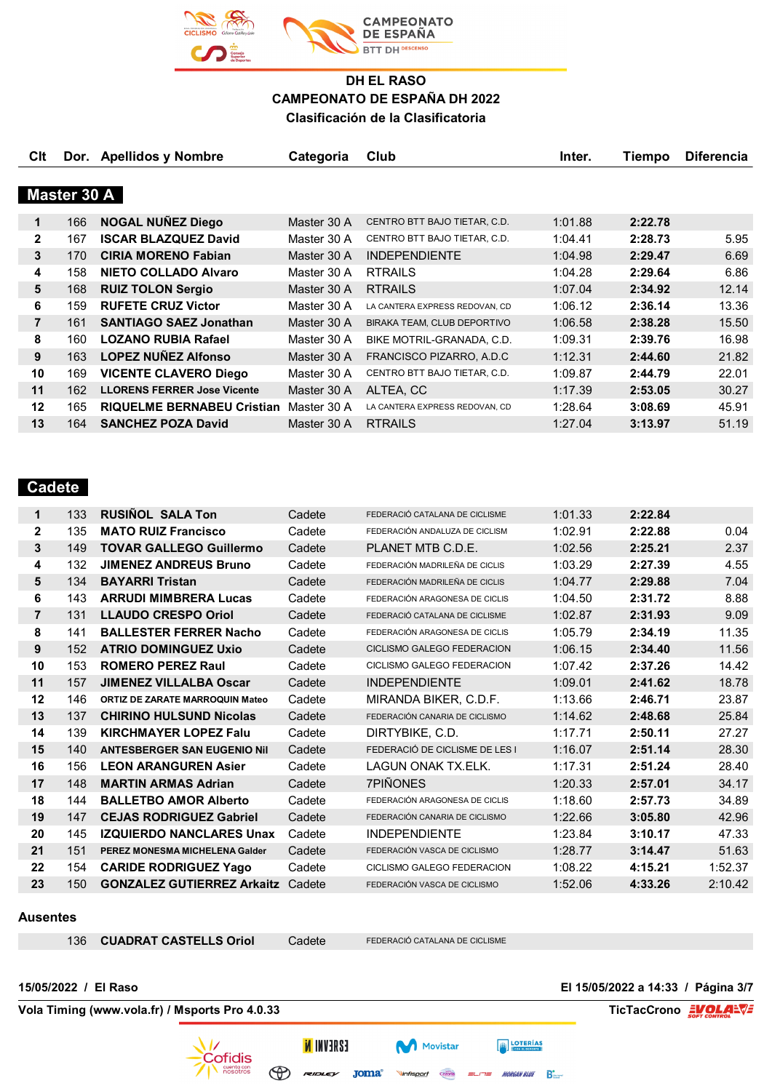

|             |                                    | Categoria                                           | Club                           | Inter.  | Tiempo  | <b>Diferencia</b> |  |  |  |  |
|-------------|------------------------------------|-----------------------------------------------------|--------------------------------|---------|---------|-------------------|--|--|--|--|
|             |                                    |                                                     |                                |         |         |                   |  |  |  |  |
| Master 30 A |                                    |                                                     |                                |         |         |                   |  |  |  |  |
| 166         |                                    | Master 30 A                                         | CENTRO BTT BAJO TIETAR, C.D.   | 1:01.88 | 2:22.78 |                   |  |  |  |  |
| 167         | <b>ISCAR BLAZQUEZ David</b>        | Master 30 A                                         | CENTRO BTT BAJO TIETAR, C.D.   | 1:04.41 | 2:28.73 | 5.95              |  |  |  |  |
| 170         | <b>CIRIA MORENO Fabian</b>         | Master 30 A                                         | <b>INDEPENDIENTE</b>           | 1:04.98 | 2:29.47 | 6.69              |  |  |  |  |
| 158         | <b>NIETO COLLADO Alvaro</b>        | Master 30 A                                         | <b>RTRAILS</b>                 | 1:04.28 | 2:29.64 | 6.86              |  |  |  |  |
| 168         | <b>RUIZ TOLON Sergio</b>           | Master 30 A                                         | <b>RTRAILS</b>                 | 1:07.04 | 2:34.92 | 12.14             |  |  |  |  |
| 159         | <b>RUFETE CRUZ Victor</b>          | Master 30 A                                         | LA CANTERA EXPRESS REDOVAN, CD | 1:06.12 | 2:36.14 | 13.36             |  |  |  |  |
| 161         | <b>SANTIAGO SAEZ Jonathan</b>      | Master 30 A                                         | BIRAKA TEAM, CLUB DEPORTIVO    | 1:06.58 | 2:38.28 | 15.50             |  |  |  |  |
| 160         | <b>LOZANO RUBIA Rafael</b>         | Master 30 A                                         | BIKE MOTRIL-GRANADA, C.D.      | 1:09.31 | 2:39.76 | 16.98             |  |  |  |  |
| 163         | <b>LOPEZ NUÑEZ Alfonso</b>         | Master 30 A                                         | FRANCISCO PIZARRO, A.D.C       | 1:12.31 | 2:44.60 | 21.82             |  |  |  |  |
| 169         | <b>VICENTE CLAVERO Diego</b>       | Master 30 A                                         | CENTRO BTT BAJO TIETAR, C.D.   | 1:09.87 | 2:44.79 | 22.01             |  |  |  |  |
| 162         | <b>LLORENS FERRER Jose Vicente</b> | Master 30 A                                         | ALTEA, CC                      | 1:17.39 | 2:53.05 | 30.27             |  |  |  |  |
| 165         | <b>RIQUELME BERNABEU Cristian</b>  | Master 30 A                                         | LA CANTERA EXPRESS REDOVAN, CD | 1:28.64 | 3:08.69 | 45.91             |  |  |  |  |
| 164         | <b>SANCHEZ POZA David</b>          | Master 30 A                                         | <b>RTRAILS</b>                 | 1:27.04 | 3:13.97 | 51.19             |  |  |  |  |
|             |                                    | Dor. Apellidos y Nombre<br><b>NOGAL NUNEZ Diego</b> |                                |         |         |                   |  |  |  |  |

## **Cadete**

| $\mathbf 1$    | 133 | <b>RUSINOL SALA Ton</b>                | Cadete | FEDERACIÓ CATALANA DE CICLISME | 1:01.33 | 2:22.84 |         |
|----------------|-----|----------------------------------------|--------|--------------------------------|---------|---------|---------|
| $\mathbf{2}$   | 135 | <b>MATO RUIZ Francisco</b>             | Cadete | FEDERACIÓN ANDALUZA DE CICLISM | 1:02.91 | 2:22.88 | 0.04    |
| 3              | 149 | <b>TOVAR GALLEGO Guillermo</b>         | Cadete | PLANET MTB C.D.E.              | 1:02.56 | 2:25.21 | 2.37    |
| 4              | 132 | <b>JIMENEZ ANDREUS Bruno</b>           | Cadete | FEDERACIÓN MADRILEÑA DE CICLIS | 1:03.29 | 2:27.39 | 4.55    |
| 5              | 134 | <b>BAYARRI Tristan</b>                 | Cadete | FEDERACIÓN MADRILEÑA DE CICLIS | 1:04.77 | 2:29.88 | 7.04    |
| 6              | 143 | <b>ARRUDI MIMBRERA Lucas</b>           | Cadete | FEDERACIÓN ARAGONESA DE CICLIS | 1:04.50 | 2:31.72 | 8.88    |
| $\overline{7}$ | 131 | <b>LLAUDO CRESPO Oriol</b>             | Cadete | FEDERACIÓ CATALANA DE CICLISME | 1:02.87 | 2:31.93 | 9.09    |
| 8              | 141 | <b>BALLESTER FERRER Nacho</b>          | Cadete | FEDERACIÓN ARAGONESA DE CICLIS | 1:05.79 | 2:34.19 | 11.35   |
| 9              | 152 | <b>ATRIO DOMINGUEZ Uxio</b>            | Cadete | CICLISMO GALEGO FEDERACION     | 1:06.15 | 2:34.40 | 11.56   |
| 10             | 153 | <b>ROMERO PEREZ Raul</b>               | Cadete | CICLISMO GALEGO FEDERACION     | 1:07.42 | 2:37.26 | 14.42   |
| 11             | 157 | <b>JIMENEZ VILLALBA Oscar</b>          | Cadete | <b>INDEPENDIENTE</b>           | 1:09.01 | 2:41.62 | 18.78   |
| 12             | 146 | <b>ORTIZ DE ZARATE MARROQUIN Mateo</b> | Cadete | MIRANDA BIKER, C.D.F.          | 1:13.66 | 2:46.71 | 23.87   |
| 13             | 137 | <b>CHIRINO HULSUND Nicolas</b>         | Cadete | FEDERACIÓN CANARIA DE CICLISMO | 1:14.62 | 2:48.68 | 25.84   |
| 14             | 139 | <b>KIRCHMAYER LOPEZ Falu</b>           | Cadete | DIRTYBIKE, C.D.                | 1:17.71 | 2:50.11 | 27.27   |
| 15             | 140 | <b>ANTESBERGER SAN EUGENIO Nil</b>     | Cadete | FEDERACIÓ DE CICLISME DE LES I | 1:16.07 | 2:51.14 | 28.30   |
| 16             | 156 | <b>LEON ARANGUREN Asier</b>            | Cadete | LAGUN ONAK TX.ELK.             | 1:17.31 | 2:51.24 | 28.40   |
| 17             | 148 | <b>MARTIN ARMAS Adrian</b>             | Cadete | 7PIÑONES                       | 1:20.33 | 2:57.01 | 34.17   |
| 18             | 144 | <b>BALLETBO AMOR Alberto</b>           | Cadete | FEDERACIÓN ARAGONESA DE CICLIS | 1:18.60 | 2:57.73 | 34.89   |
| 19             | 147 | <b>CEJAS RODRIGUEZ Gabriel</b>         | Cadete | FEDERACIÓN CANARIA DE CICLISMO | 1:22.66 | 3:05.80 | 42.96   |
| 20             | 145 | <b>IZQUIERDO NANCLARES Unax</b>        | Cadete | <b>INDEPENDIENTE</b>           | 1:23.84 | 3:10.17 | 47.33   |
| 21             | 151 | PEREZ MONESMA MICHELENA Galder         | Cadete | FEDERACIÓN VASCA DE CICLISMO   | 1:28.77 | 3:14.47 | 51.63   |
| 22             | 154 | <b>CARIDE RODRIGUEZ Yago</b>           | Cadete | CICLISMO GALEGO FEDERACION     | 1:08.22 | 4:15.21 | 1:52.37 |
| 23             | 150 | <b>GONZALEZ GUTIERREZ Arkaitz</b>      | Cadete | FEDERACIÓN VASCA DE CICLISMO   | 1:52.06 | 4:33.26 | 2:10.42 |

#### **Ausentes**

**CUADRAT CASTELLS Oriol** Cadete FEDERACIÓ CATALANA DE CICLISME

ESAEVNI <mark>N</mark>

**Movistar** 

Cazorla

Vinfisport

**EXECUTERIAS** 

 $=$  $=$  MORGAN BLUE  $\sum_{n=1}^{\infty}$ 

**Vola Timing (www.vola.fr) / Msports Pro 4.0.33 TicTacCrono EVOLALVE** 

**15/05/2022 / El Raso El 15/05/2022 a 14:33 / Página 3/7**



 $\bigoplus$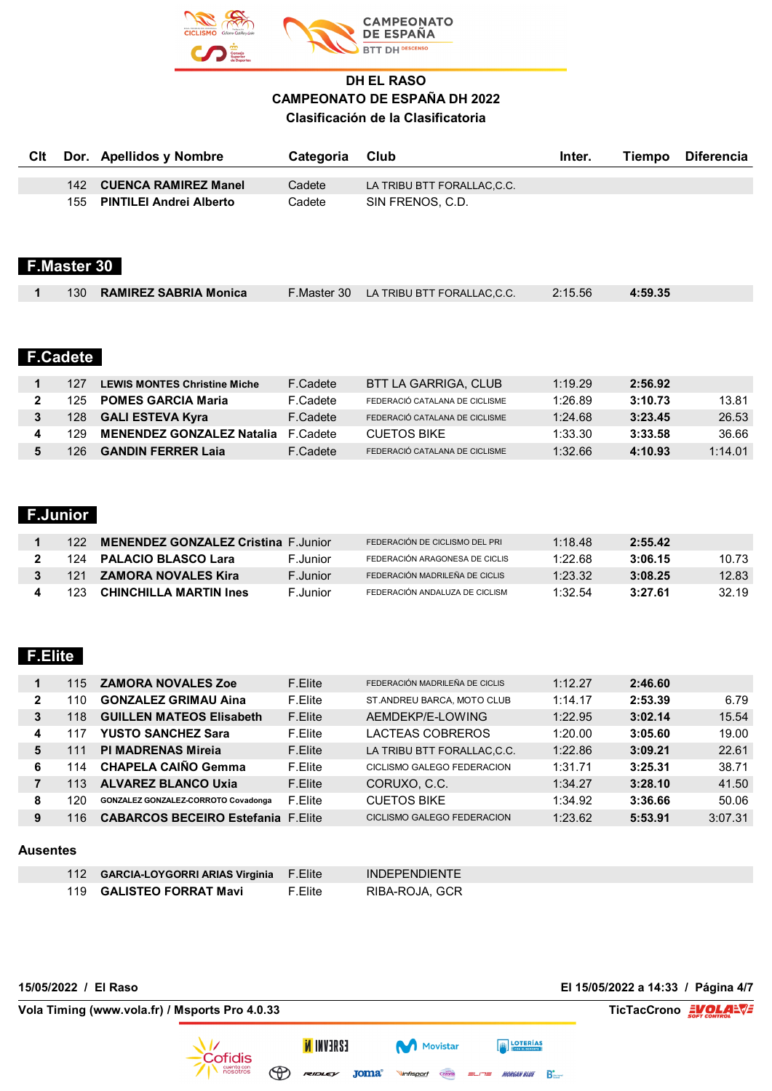

|     | Cit Dor. Apellidos y Nombre | Categoria | Club                       | Inter. | Tiempo | Diferencia |
|-----|-----------------------------|-----------|----------------------------|--------|--------|------------|
|     |                             |           |                            |        |        |            |
| 142 | <b>CUENCA RAMIREZ Manel</b> | Cadete    | LA TRIBU BTT FORALLAC,C.C. |        |        |            |
|     | 155 PINTILEI Andrei Alberto | Cadete    | SIN FRENOS, C.D.           |        |        |            |
|     |                             |           |                            |        |        |            |

## **F.Master 30**

|  | 130 RAMIREZ SABRIA Monica | F. Master 30 LA TRIBU BTT FORALLAC.C.C. | 2:15.56 | 4:59.35 |  |
|--|---------------------------|-----------------------------------------|---------|---------|--|
|  |                           |                                         |         |         |  |

## **F.Cadete**

| 127  | <b>LEWIS MONTES Christine Miche</b> | F.Cadete | BTT LA GARRIGA. CLUB           | 1:19.29   | 2:56.92 |         |
|------|-------------------------------------|----------|--------------------------------|-----------|---------|---------|
| 125. | <b>POMES GARCIA Maria</b>           | F.Cadete | FEDERACIÓ CATALANA DE CICLISME | 1:26.89   | 3:10.73 | 13.81   |
| 128  | <b>GALI ESTEVA Kyra</b>             | F.Cadete | FEDERACIÓ CATALANA DE CICLISME | $1.24$ 68 | 3:23.45 | 26.53   |
| 129. | <b>MENENDEZ GONZALEZ Natalia</b>    | F.Cadete | <b>CUETOS BIKE</b>             | 1:33.30   | 3:33.58 | 36.66   |
| 126. | <b>GANDIN FERRER Laja</b>           | F.Cadete | FEDERACIÓ CATALANA DE CICLISME | 1:32.66   | 4:10.93 | 1:14.01 |

#### **F.Junior**

|       | <b>MENENDEZ GONZALEZ Cristina F.Junior</b> |          | FEDERACIÓN DE CICLISMO DEL PRI | 1:18.48 | 2:55.42 |       |
|-------|--------------------------------------------|----------|--------------------------------|---------|---------|-------|
| - 124 | <b>PALACIO BLASCO Lara</b>                 | F.Junior | FEDERACIÓN ARAGONESA DE CICLIS | 1:22.68 | 3:06.15 | 10.73 |
| 121   | <b>ZAMORA NOVALES Kira</b>                 | F.Junior | FEDERACIÓN MADRILEÑA DE CICLIS | 1:23.32 | 3:08.25 | 12.83 |
| 123   | <b>CHINCHILLA MARTIN Ines</b>              | F.Junior | FEDERACIÓN ANDALUZA DE CICLISM | 1:32.54 | 3:27.61 | 32.19 |

#### **F.Elite**

|              | 115 | <b>ZAMORA NOVALES Zoe</b>                  | F.Elite | FEDERACIÓN MADRILEÑA DE CICLIS    | 1:12.27 | 2:46.60 |         |
|--------------|-----|--------------------------------------------|---------|-----------------------------------|---------|---------|---------|
| $\mathbf{2}$ | 110 | <b>GONZALEZ GRIMAU Aina</b>                | F.Elite | ST.ANDREU BARCA, MOTO CLUB        | 1:14.17 | 2:53.39 | 6.79    |
| 3            | 118 | <b>GUILLEN MATEOS Elisabeth</b>            | F.Elite | AEMDEKP/E-LOWING                  | 1:22.95 | 3:02.14 | 15.54   |
| 4            |     | <b>YUSTO SANCHEZ Sara</b>                  | F.Elite | LACTEAS COBREROS                  | 1:20.00 | 3:05.60 | 19.00   |
| 5            |     | <b>PI MADRENAS Mireja</b>                  | F.Elite | LA TRIBU BTT FORALLAC, C.C.       | 1:22.86 | 3:09.21 | 22.61   |
| 6            | 114 | <b>CHAPELA CAIÑO Gemma</b>                 | F.Elite | CICLISMO GALEGO FEDERACION        | 1:31.71 | 3:25.31 | 38.71   |
|              | 113 | <b>ALVAREZ BLANCO Uxia</b>                 | F.Elite | CORUXO, C.C.                      | 1:34.27 | 3:28.10 | 41.50   |
| 8            | 120 | <b>GONZALEZ GONZALEZ CORROTO Covadonga</b> | F.Elite | <b>CUETOS BIKE</b>                | 1:34.92 | 3:36.66 | 50.06   |
| 9            | 116 | <b>CABARCOS BECEIRO Estefania</b>          | F.Flite | <b>CICLISMO GALEGO FEDERACION</b> | 1:23.62 | 5:53.91 | 3:07.31 |
|              |     |                                            |         |                                   |         |         |         |

#### **Ausentes**

| 112 GARCIA-LOYGORRI ARIAS Virginia F.Elite |         | <b>INDEPENDIENTE</b> |
|--------------------------------------------|---------|----------------------|
| 119 GALISTEO FORRAT Mavi                   | F.Elite | RIBA-ROJA, GCR       |

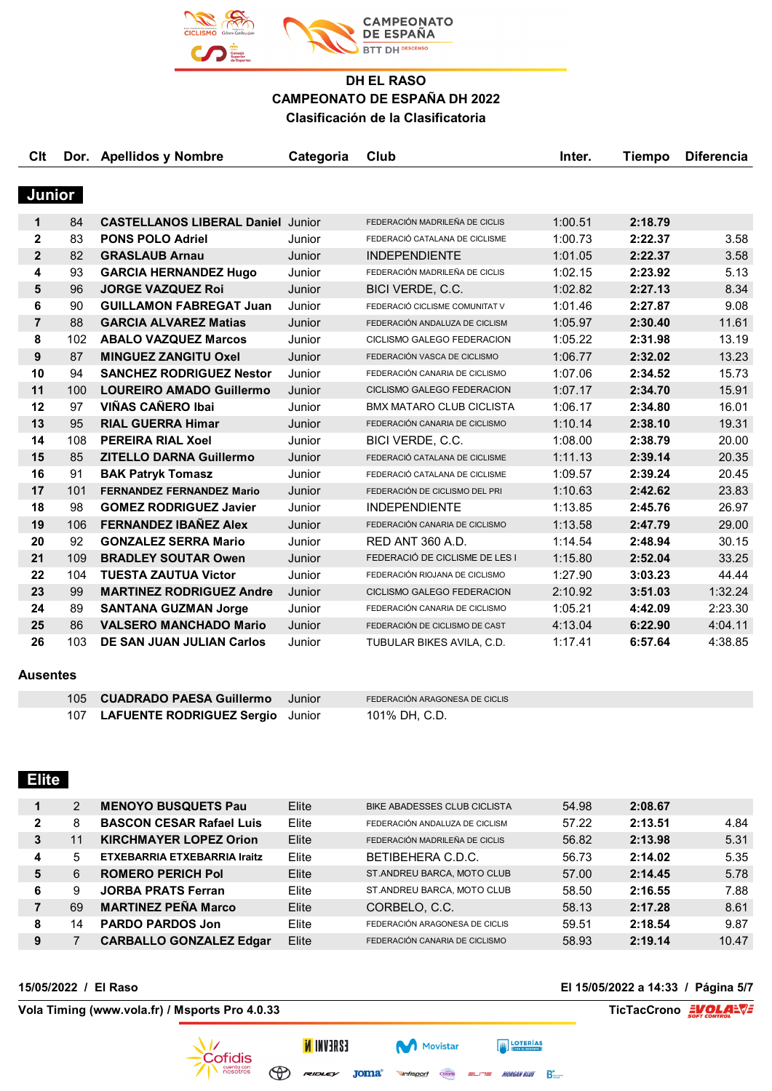

| Clt            |     | Dor. Apellidos y Nombre                  | Categoria | Club                            | Inter.  | <b>Tiempo</b> | <b>Diferencia</b> |
|----------------|-----|------------------------------------------|-----------|---------------------------------|---------|---------------|-------------------|
|                |     |                                          |           |                                 |         |               |                   |
| Junior         |     |                                          |           |                                 |         |               |                   |
| $\mathbf{1}$   | 84  | <b>CASTELLANOS LIBERAL Daniel Junior</b> |           | FEDERACIÓN MADRILEÑA DE CICLIS  | 1:00.51 | 2:18.79       |                   |
| $\mathbf{2}$   | 83  | <b>PONS POLO Adriel</b>                  | Junior    | FEDERACIÓ CATALANA DE CICLISME  | 1:00.73 | 2:22.37       | 3.58              |
| $\overline{2}$ | 82  | <b>GRASLAUB Arnau</b>                    | Junior    | <b>INDEPENDIENTE</b>            | 1:01.05 | 2:22.37       | 3.58              |
| 4              | 93  | <b>GARCIA HERNANDEZ Hugo</b>             | Junior    | FEDERACIÓN MADRILEÑA DE CICLIS  | 1:02.15 | 2:23.92       | 5.13              |
| 5              | 96  | <b>JORGE VAZQUEZ Roi</b>                 | Junior    | BICI VERDE, C.C.                | 1:02.82 | 2:27.13       | 8.34              |
| 6              | 90  | <b>GUILLAMON FABREGAT Juan</b>           | Junior    | FEDERACIÓ CICLISME COMUNITAT V  | 1:01.46 | 2:27.87       | 9.08              |
| $\overline{7}$ | 88  | <b>GARCIA ALVAREZ Matias</b>             | Junior    | FEDERACIÓN ANDALUZA DE CICLISM  | 1:05.97 | 2:30.40       | 11.61             |
| 8              | 102 | <b>ABALO VAZQUEZ Marcos</b>              | Junior    | CICLISMO GALEGO FEDERACION      | 1:05.22 | 2:31.98       | 13.19             |
| 9              | 87  | <b>MINGUEZ ZANGITU Oxel</b>              | Junior    | FEDERACIÓN VASCA DE CICLISMO    | 1:06.77 | 2:32.02       | 13.23             |
| 10             | 94  | <b>SANCHEZ RODRIGUEZ Nestor</b>          | Junior    | FEDERACIÓN CANARIA DE CICLISMO  | 1:07.06 | 2:34.52       | 15.73             |
| 11             | 100 | <b>LOUREIRO AMADO Guillermo</b>          | Junior    | CICLISMO GALEGO FEDERACION      | 1:07.17 | 2:34.70       | 15.91             |
| 12             | 97  | <b>VIÑAS CAÑERO Ibai</b>                 | Junior    | <b>BMX MATARO CLUB CICLISTA</b> | 1:06.17 | 2:34.80       | 16.01             |
| 13             | 95  | <b>RIAL GUERRA Himar</b>                 | Junior    | FEDERACIÓN CANARIA DE CICLISMO  | 1:10.14 | 2:38.10       | 19.31             |
| 14             | 108 | <b>PEREIRA RIAL Xoel</b>                 | Junior    | BICI VERDE, C.C.                | 1:08.00 | 2:38.79       | 20.00             |
| 15             | 85  | <b>ZITELLO DARNA Guillermo</b>           | Junior    | FEDERACIÓ CATALANA DE CICLISME  | 1:11.13 | 2:39.14       | 20.35             |
| 16             | 91  | <b>BAK Patryk Tomasz</b>                 | Junior    | FEDERACIÓ CATALANA DE CICLISME  | 1:09.57 | 2:39.24       | 20.45             |
| 17             | 101 | <b>FERNANDEZ FERNANDEZ Mario</b>         | Junior    | FEDERACIÓN DE CICLISMO DEL PRI  | 1:10.63 | 2:42.62       | 23.83             |
| 18             | 98  | <b>GOMEZ RODRIGUEZ Javier</b>            | Junior    | <b>INDEPENDIENTE</b>            | 1:13.85 | 2:45.76       | 26.97             |
| 19             | 106 | <b>FERNANDEZ IBAÑEZ Alex</b>             | Junior    | FEDERACIÓN CANARIA DE CICLISMO  | 1:13.58 | 2:47.79       | 29.00             |
| 20             | 92  | <b>GONZALEZ SERRA Mario</b>              | Junior    | <b>RED ANT 360 A.D.</b>         | 1:14.54 | 2:48.94       | 30.15             |
| 21             | 109 | <b>BRADLEY SOUTAR Owen</b>               | Junior    | FEDERACIÓ DE CICLISME DE LES I  | 1:15.80 | 2:52.04       | 33.25             |
| 22             | 104 | <b>TUESTA ZAUTUA Victor</b>              | Junior    | FEDERACIÓN RIOJANA DE CICLISMO  | 1:27.90 | 3:03.23       | 44.44             |
| 23             | 99  | <b>MARTINEZ RODRIGUEZ Andre</b>          | Junior    | CICLISMO GALEGO FEDERACION      | 2:10.92 | 3:51.03       | 1:32.24           |
| 24             | 89  | <b>SANTANA GUZMAN Jorge</b>              | Junior    | FEDERACIÓN CANARIA DE CICLISMO  | 1:05.21 | 4:42.09       | 2:23.30           |
| 25             | 86  | <b>VALSERO MANCHADO Mario</b>            | Junior    | FEDERACIÓN DE CICLISMO DE CAST  | 4:13.04 | 6:22.90       | 4:04.11           |
| 26             | 103 | DE SAN JUAN JULIAN Carlos                | Junior    | TUBULAR BIKES AVILA, C.D.       | 1:17.41 | 6:57.64       | 4:38.85           |
| Ausentes       |     |                                          |           |                                 |         |               |                   |

| 105 CUADRADO PAESA Guillermo         | - Junior | FEDERACIÓN ARAGONESA DE CICLIS |
|--------------------------------------|----------|--------------------------------|
| 107 LAFUENTE RODRIGUEZ Sergio Junior |          | 101% DH, C.D.                  |

## **Elite**

|   | 2  | <b>MENOYO BUSQUETS Pau</b>      | Elite | BIKE ABADESSES CLUB CICLISTA   | 54.98 | 2:08.67 |       |
|---|----|---------------------------------|-------|--------------------------------|-------|---------|-------|
| 2 | 8  | <b>BASCON CESAR Rafael Luis</b> | Elite | FEDERACIÓN ANDALUZA DE CICLISM | 57.22 | 2:13.51 | 4.84  |
| 3 | 11 | <b>KIRCHMAYER LOPEZ Orion</b>   | Elite | FEDERACIÓN MADRILEÑA DE CICLIS | 56.82 | 2:13.98 | 5.31  |
| 4 | 5  | ETXEBARRIA ETXEBARRIA Iraitz    | Elite | BETIBEHERA C.D.C.              | 56.73 | 2:14.02 | 5.35  |
| 5 | 6  | <b>ROMERO PERICH Pol</b>        | Elite | ST.ANDREU BARCA, MOTO CLUB     | 57.00 | 2:14.45 | 5.78  |
| 6 | 9  | <b>JORBA PRATS Ferran</b>       | Elite | ST.ANDREU BARCA, MOTO CLUB     | 58.50 | 2:16.55 | 7.88  |
|   | 69 | <b>MARTINEZ PEÑA Marco</b>      | Elite | CORBELO, C.C.                  | 58.13 | 2:17.28 | 8.61  |
| 8 | 14 | <b>PARDO PARDOS Jon</b>         | Elite | FEDERACIÓN ARAGONESA DE CICLIS | 59.51 | 2:18.54 | 9.87  |
| 9 |    | <b>CARBALLO GONZALEZ Edgar</b>  | Elite | FEDERACIÓN CANARIA DE CICLISMO | 58.93 | 2:19.14 | 10.47 |

Movistar

Cazorla

Vinfisport

**ESAEVNI N** 

 $\bigoplus$ 

**Vola Timing (www.vola.fr) / Msports Pro 4.0.33 TicTacCrono EVOLALVE** 

**15/05/2022 / El Raso El 15/05/2022 a 14:33 / Página 5/7**

**EXECUTERIAS** 

 $=$  $=$  MORGAN BLUE  $\sum_{n=1}^{\infty}$ 

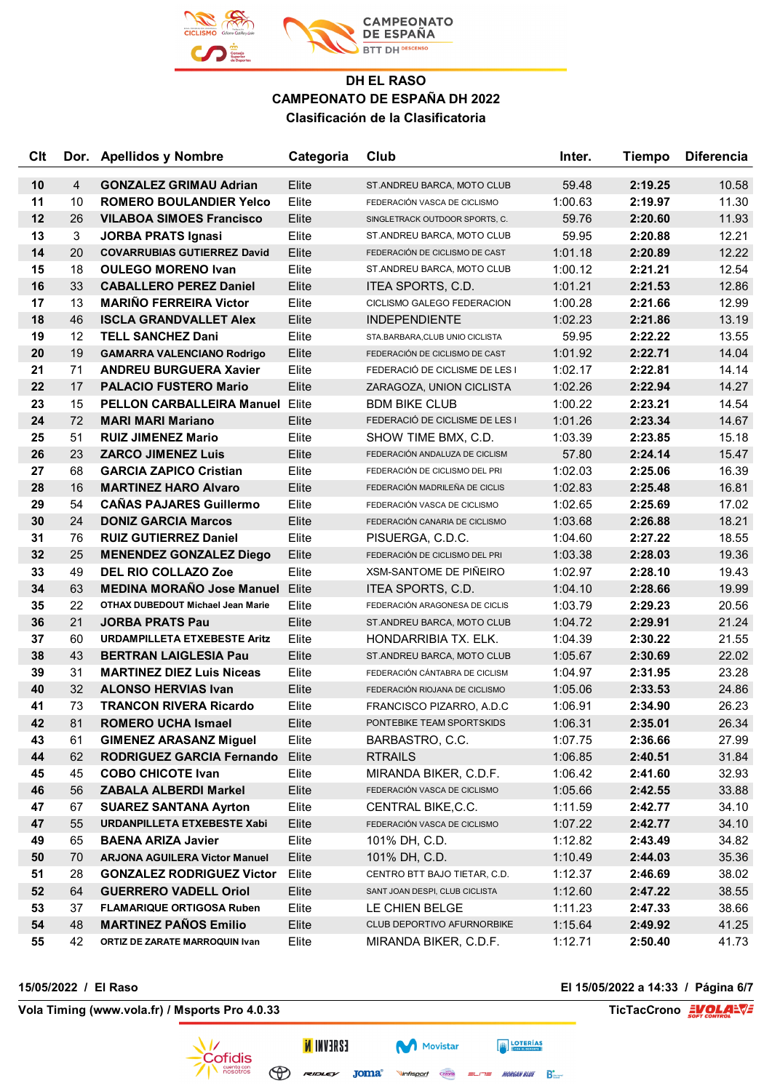

| Clt |                | Dor. Apellidos y Nombre                  | Categoria | Club                            | Inter.  | <b>Tiempo</b> | <b>Diferencia</b> |
|-----|----------------|------------------------------------------|-----------|---------------------------------|---------|---------------|-------------------|
| 10  | $\overline{4}$ | <b>GONZALEZ GRIMAU Adrian</b>            | Elite     | ST.ANDREU BARCA, MOTO CLUB      | 59.48   | 2:19.25       | 10.58             |
| 11  | 10             | <b>ROMERO BOULANDIER Yelco</b>           | Elite     | FEDERACIÓN VASCA DE CICLISMO    | 1:00.63 | 2:19.97       | 11.30             |
| 12  | 26             | <b>VILABOA SIMOES Francisco</b>          | Elite     | SINGLETRACK OUTDOOR SPORTS, C.  | 59.76   | 2:20.60       | 11.93             |
| 13  | 3              | <b>JORBA PRATS Ignasi</b>                | Elite     | ST.ANDREU BARCA, MOTO CLUB      | 59.95   | 2:20.88       | 12.21             |
| 14  | 20             | <b>COVARRUBIAS GUTIERREZ David</b>       | Elite     | FEDERACIÓN DE CICLISMO DE CAST  | 1:01.18 | 2:20.89       | 12.22             |
| 15  | 18             | <b>OULEGO MORENO Ivan</b>                | Elite     | ST.ANDREU BARCA, MOTO CLUB      | 1:00.12 | 2:21.21       | 12.54             |
| 16  | 33             | <b>CABALLERO PEREZ Daniel</b>            | Elite     | ITEA SPORTS, C.D.               | 1:01.21 | 2:21.53       | 12.86             |
| 17  | 13             | <b>MARIÑO FERREIRA Victor</b>            | Elite     | CICLISMO GALEGO FEDERACION      | 1:00.28 | 2:21.66       | 12.99             |
| 18  | 46             | <b>ISCLA GRANDVALLET Alex</b>            | Elite     | <b>INDEPENDIENTE</b>            | 1:02.23 | 2:21.86       | 13.19             |
| 19  | 12             | <b>TELL SANCHEZ Dani</b>                 | Elite     | STA.BARBARA, CLUB UNIO CICLISTA | 59.95   | 2:22.22       | 13.55             |
| 20  | 19             | <b>GAMARRA VALENCIANO Rodrigo</b>        | Elite     | FEDERACIÓN DE CICLISMO DE CAST  | 1:01.92 | 2:22.71       | 14.04             |
| 21  | 71             | <b>ANDREU BURGUERA Xavier</b>            | Elite     | FEDERACIÓ DE CICLISME DE LES I  | 1:02.17 | 2:22.81       | 14.14             |
| 22  | 17             | <b>PALACIO FUSTERO Mario</b>             | Elite     | ZARAGOZA, UNION CICLISTA        | 1:02.26 | 2:22.94       | 14.27             |
| 23  | 15             | <b>PELLON CARBALLEIRA Manuel Elite</b>   |           | <b>BDM BIKE CLUB</b>            | 1:00.22 | 2:23.21       | 14.54             |
| 24  | 72             | <b>MARI MARI Mariano</b>                 | Elite     | FEDERACIÓ DE CICLISME DE LES I  | 1:01.26 | 2:23.34       | 14.67             |
| 25  | 51             | <b>RUIZ JIMENEZ Mario</b>                | Elite     | SHOW TIME BMX, C.D.             | 1:03.39 | 2:23.85       | 15.18             |
| 26  | 23             | <b>ZARCO JIMENEZ Luis</b>                | Elite     | FEDERACIÓN ANDALUZA DE CICLISM  | 57.80   | 2:24.14       | 15.47             |
| 27  | 68             | <b>GARCIA ZAPICO Cristian</b>            | Elite     | FEDERACIÓN DE CICLISMO DEL PRI  | 1:02.03 | 2:25.06       | 16.39             |
| 28  | 16             | <b>MARTINEZ HARO Alvaro</b>              | Elite     | FEDERACIÓN MADRILEÑA DE CICLIS  | 1:02.83 | 2:25.48       | 16.81             |
| 29  | 54             | <b>CAÑAS PAJARES Guillermo</b>           | Elite     | FEDERACIÓN VASCA DE CICLISMO    | 1:02.65 | 2:25.69       | 17.02             |
| 30  | 24             | <b>DONIZ GARCIA Marcos</b>               | Elite     | FEDERACIÓN CANARIA DE CICLISMO  | 1:03.68 | 2:26.88       | 18.21             |
| 31  | 76             | <b>RUIZ GUTIERREZ Daniel</b>             | Elite     | PISUERGA, C.D.C.                | 1:04.60 | 2:27.22       | 18.55             |
| 32  | 25             | <b>MENENDEZ GONZALEZ Diego</b>           | Elite     | FEDERACIÓN DE CICLISMO DEL PRI  | 1:03.38 | 2:28.03       | 19.36             |
| 33  | 49             | <b>DEL RIO COLLAZO Zoe</b>               | Elite     | <b>XSM-SANTOME DE PIÑEIRO</b>   | 1:02.97 | 2:28.10       | 19.43             |
| 34  | 63             | <b>MEDINA MORAÑO Jose Manuel</b>         | Elite     | ITEA SPORTS, C.D.               | 1:04.10 | 2:28.66       | 19.99             |
| 35  | 22             | <b>OTHAX DUBEDOUT Michael Jean Marie</b> | Elite     | FEDERACIÓN ARAGONESA DE CICLIS  | 1:03.79 | 2:29.23       | 20.56             |
| 36  | 21             | <b>JORBA PRATS Pau</b>                   | Elite     | ST.ANDREU BARCA, MOTO CLUB      | 1:04.72 | 2:29.91       | 21.24             |
| 37  | 60             | <b>URDAMPILLETA ETXEBESTE Aritz</b>      | Elite     | HONDARRIBIA TX. ELK.            | 1:04.39 | 2:30.22       | 21.55             |
| 38  | 43             | <b>BERTRAN LAIGLESIA Pau</b>             | Elite     | ST.ANDREU BARCA, MOTO CLUB      | 1:05.67 | 2:30.69       | 22.02             |
| 39  | 31             | <b>MARTINEZ DIEZ Luis Niceas</b>         | Elite     | FEDERACIÓN CÁNTABRA DE CICLISM  | 1:04.97 | 2:31.95       | 23.28             |
| 40  | 32             | <b>ALONSO HERVIAS Ivan</b>               | Elite     | FEDERACIÓN RIOJANA DE CICLISMO  | 1:05.06 | 2:33.53       | 24.86             |
| 41  | 73             | <b>TRANCON RIVERA Ricardo</b>            | Elite     | FRANCISCO PIZARRO, A.D.C        | 1:06.91 | 2:34.90       | 26.23             |
| 42  | 81             | <b>ROMERO UCHA Ismael</b>                | Elite     | PONTEBIKE TEAM SPORTSKIDS       | 1:06.31 | 2:35.01       | 26.34             |
| 43  | 61             | <b>GIMENEZ ARASANZ Miguel</b>            | Elite     | BARBASTRO, C.C.                 | 1:07.75 | 2:36.66       | 27.99             |
| 44  | 62             | <b>RODRIGUEZ GARCIA Fernando</b>         | Elite     | <b>RTRAILS</b>                  | 1:06.85 | 2:40.51       | 31.84             |
| 45  | 45             | <b>COBO CHICOTE Ivan</b>                 | Elite     | MIRANDA BIKER, C.D.F.           | 1:06.42 | 2:41.60       | 32.93             |
| 46  | 56             | <b>ZABALA ALBERDI Markel</b>             | Elite     | FEDERACIÓN VASCA DE CICLISMO    | 1:05.66 | 2:42.55       | 33.88             |
| 47  | 67             | <b>SUAREZ SANTANA Ayrton</b>             | Elite     | CENTRAL BIKE, C.C.              | 1:11.59 | 2:42.77       | 34.10             |
| 47  | 55             | URDANPILLETA ETXEBESTE Xabi              | Elite     | FEDERACIÓN VASCA DE CICLISMO    | 1:07.22 | 2:42.77       | 34.10             |
| 49  | 65             | <b>BAENA ARIZA Javier</b>                | Elite     | 101% DH, C.D.                   | 1:12.82 | 2:43.49       | 34.82             |
| 50  | 70             | <b>ARJONA AGUILERA Victor Manuel</b>     | Elite     | 101% DH, C.D.                   | 1:10.49 | 2:44.03       | 35.36             |
| 51  | 28             | <b>GONZALEZ RODRIGUEZ Victor</b>         | Elite     | CENTRO BTT BAJO TIETAR, C.D.    | 1:12.37 | 2:46.69       | 38.02             |
| 52  | 64             | <b>GUERRERO VADELL Oriol</b>             | Elite     | SANT JOAN DESPI, CLUB CICLISTA  | 1:12.60 | 2:47.22       | 38.55             |
| 53  | 37             | <b>FLAMARIQUE ORTIGOSA Ruben</b>         | Elite     | LE CHIEN BELGE                  | 1:11.23 | 2:47.33       | 38.66             |
| 54  | 48             | <b>MARTINEZ PAÑOS Emilio</b>             | Elite     | CLUB DEPORTIVO AFURNORBIKE      | 1:15.64 | 2:49.92       | 41.25             |
| 55  | 42             | ORTIZ DE ZARATE MARROQUIN Ivan           | Elite     | MIRANDA BIKER, C.D.F.           | 1:12.71 | 2:50.40       | 41.73             |

**Vola Timing (www.vola.fr) / Msports Pro 4.0.33 TicTacCrono EVOLAL** 

**15/05/2022 / El Raso El 15/05/2022 a 14:33 / Página 6/7**



**Vinfisport** Cazoria  $=$  $-17$  $=$  MORGAN BLUE  $\sum_{n=1}^{\infty}$ 

**Movistar** 

**EXECUTERIAS**